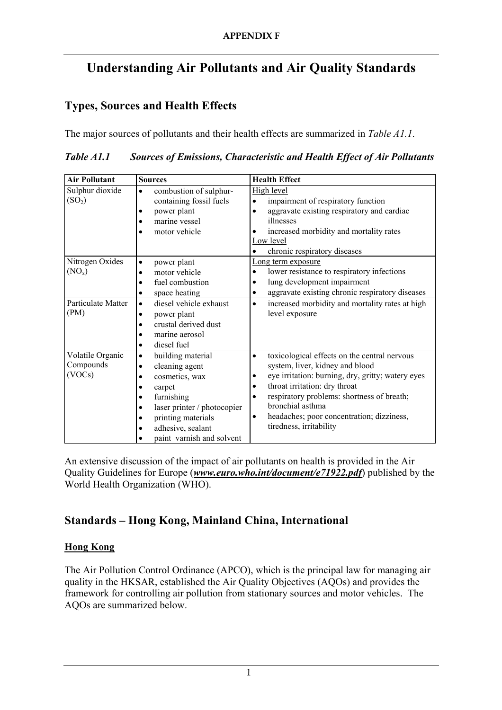# **Understanding Air Pollutants and Air Quality Standards**

# **Types, Sources and Health Effects**

The major sources of pollutants and their health effects are summarized in *Table A1.1*.

*Table A1.1 Sources of Emissions, Characteristic and Health Effect of Air Pollutants* 

| <b>Air Pollutant</b>                    | <b>Sources</b>                                                                                                                                                                                                                                                          | <b>Health Effect</b>                                                                                                                                                                                                                                                                                                                                                     |
|-----------------------------------------|-------------------------------------------------------------------------------------------------------------------------------------------------------------------------------------------------------------------------------------------------------------------------|--------------------------------------------------------------------------------------------------------------------------------------------------------------------------------------------------------------------------------------------------------------------------------------------------------------------------------------------------------------------------|
| Sulphur dioxide<br>(SO <sub>2</sub> )   | combustion of sulphur-<br>$\bullet$<br>containing fossil fuels<br>power plant<br>$\bullet$<br>marine vessel<br>motor vehicle                                                                                                                                            | High level<br>impairment of respiratory function<br>$\bullet$<br>aggravate existing respiratory and cardiac<br>$\bullet$<br>illnesses<br>increased morbidity and mortality rates<br>Low level<br>chronic respiratory diseases<br>$\bullet$                                                                                                                               |
| Nitrogen Oxides<br>$(NO_x)$             | power plant<br>$\bullet$<br>motor vehicle<br>$\bullet$<br>fuel combustion<br>٠<br>space heating<br>$\bullet$                                                                                                                                                            | Long term exposure<br>lower resistance to respiratory infections<br>$\bullet$<br>lung development impairment<br>٠<br>aggravate existing chronic respiratory diseases<br>$\bullet$                                                                                                                                                                                        |
| <b>Particulate Matter</b><br>(PM)       | diesel vehicle exhaust<br>$\bullet$<br>power plant<br>$\bullet$<br>crustal derived dust<br>$\bullet$<br>marine aerosol<br>٠<br>diesel fuel<br>$\bullet$                                                                                                                 | increased morbidity and mortality rates at high<br>$\bullet$<br>level exposure                                                                                                                                                                                                                                                                                           |
| Volatile Organic<br>Compounds<br>(VOCs) | building material<br>$\bullet$<br>cleaning agent<br>$\bullet$<br>cosmetics, wax<br>$\bullet$<br>carpet<br>٠<br>furnishing<br>$\bullet$<br>laser printer / photocopier<br>$\bullet$<br>printing materials<br>$\bullet$<br>adhesive, sealant<br>paint varnish and solvent | toxicological effects on the central nervous<br>$\bullet$<br>system, liver, kidney and blood<br>eye irritation: burning, dry, gritty; watery eyes<br>٠<br>throat irritation: dry throat<br>$\bullet$<br>respiratory problems: shortness of breath;<br>$\bullet$<br>bronchial asthma<br>headaches; poor concentration; dizziness,<br>$\bullet$<br>tiredness, irritability |

An extensive discussion of the impact of air pollutants on health is provided in the Air Quality Guidelines for Europe (*www.euro.who.int/document/e71922.pdf*) published by the World Health Organization (WHO).

# **Standards – Hong Kong, Mainland China, International**

## **Hong Kong**

The Air Pollution Control Ordinance (APCO), which is the principal law for managing air quality in the HKSAR, established the Air Quality Objectives (AQOs) and provides the framework for controlling air pollution from stationary sources and motor vehicles. The AQOs are summarized below.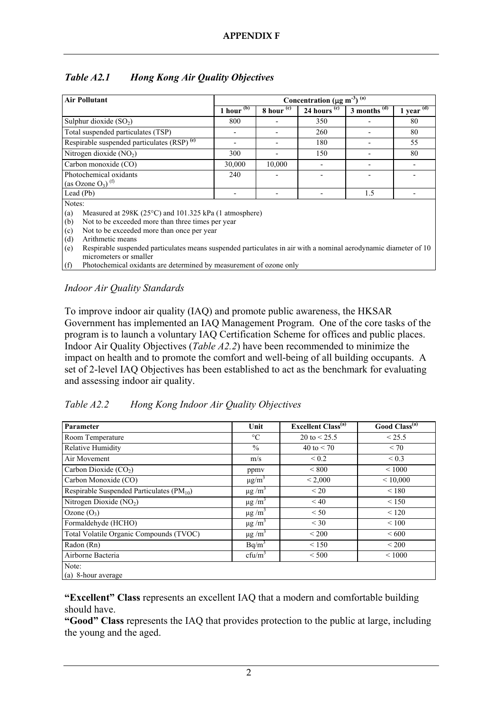| <b>Air Pollutant</b>                                                                                                                             | Concentration ( $\mu$ g m <sup>-3</sup> ) <sup>(a)</sup> |              |                |                         |                            |
|--------------------------------------------------------------------------------------------------------------------------------------------------|----------------------------------------------------------|--------------|----------------|-------------------------|----------------------------|
|                                                                                                                                                  | 1 hour $(b)$                                             | 8 hour $(c)$ | 24 hours $(c)$ | 3 months $\overline{d}$ | 1 year $\overline{^{(d)}}$ |
| Sulphur dioxide $(SO2)$                                                                                                                          | 800                                                      |              | 350            |                         | 80                         |
| Total suspended particulates (TSP)                                                                                                               |                                                          |              | 260            |                         | 80                         |
| Respirable suspended particulates (RSP) <sup>(e)</sup>                                                                                           |                                                          |              | 180            |                         | 55                         |
| Nitrogen dioxide $(NO2)$                                                                                                                         | 300                                                      |              | 150            |                         | 80                         |
| Carbon monoxide (CO)                                                                                                                             | 30,000                                                   | 10,000       |                |                         |                            |
| Photochemical oxidants<br>(as Ozone $O_3$ ) <sup>(f)</sup>                                                                                       | 240                                                      |              |                |                         |                            |
| Lead (Pb)                                                                                                                                        |                                                          |              |                | 1.5                     |                            |
| Notes:                                                                                                                                           |                                                          |              |                |                         |                            |
| Measured at 298K (25°C) and 101.325 kPa (1 atmosphere)<br>(a)                                                                                    |                                                          |              |                |                         |                            |
| Not to be exceeded more than three times per year<br>(b)                                                                                         |                                                          |              |                |                         |                            |
| (c)<br>Not to be exceeded more than once per year                                                                                                |                                                          |              |                |                         |                            |
| (d)<br>Arithmetic means                                                                                                                          |                                                          |              |                |                         |                            |
| Respirable suspended particulates means suspended particulates in air with a nominal aerodynamic diameter of 10<br>(e)<br>micrometers or smaller |                                                          |              |                |                         |                            |
| Photochemical oxidants are determined by measurement of ozone only<br>(f)                                                                        |                                                          |              |                |                         |                            |
|                                                                                                                                                  |                                                          |              |                |                         |                            |

## *Table A2.1 Hong Kong Air Quality Objectives*

*Indoor Air Quality Standards* 

To improve indoor air quality (IAQ) and promote public awareness, the HKSAR Government has implemented an IAQ Management Program. One of the core tasks of the program is to launch a voluntary IAQ Certification Scheme for offices and public places. Indoor Air Quality Objectives (*Table A2.2*) have been recommended to minimize the impact on health and to promote the comfort and well-being of all building occupants. A set of 2-level IAQ Objectives has been established to act as the benchmark for evaluating and assessing indoor air quality.

| Parameter                                             | Unit                    | <b>Excellent Class<sup>(a)</sup></b> | Good Class <sup>(a)</sup> |
|-------------------------------------------------------|-------------------------|--------------------------------------|---------------------------|
| Room Temperature                                      | $\rm ^{\circ}C$         | 20 to $< 25.5$                       | < 25.5                    |
| <b>Relative Humidity</b>                              | $\%$                    | 40 to $< 70$                         | < 70                      |
| Air Movement                                          | m/s                     | ${}_{0.2}$                           | ${}_{0.3}$                |
| Carbon Dioxide $(CO2)$                                | ppmy                    | ${}_{<800}$                          | ${}< 1000$                |
| Carbon Monoxide (CO)                                  | $\mu$ g/m <sup>3</sup>  | < 2,000                              | ${}< 10,000$              |
| Respirable Suspended Particulates (PM <sub>10</sub> ) | $\mu$ g/m <sup>3</sup>  | < 20                                 | < 180                     |
| Nitrogen Dioxide $(NO2)$                              | $\mu$ g/m <sup>3</sup>  | < 40                                 | < 150                     |
| Ozone $(O_3)$                                         | $\mu$ g/m <sup>3</sup>  | < 50                                 | < 120                     |
| Formaldehyde (HCHO)                                   | $\mu$ g /m <sup>3</sup> | $<$ 30                               | ${}< 100$                 |
| Total Volatile Organic Compounds (TVOC)               | $\mu$ g/m <sup>3</sup>  | < 200                                | <600                      |
| Radon (Rn)                                            | $Bq/m^3$                | < 150                                | < 200                     |
| Airborne Bacteria                                     | $cfu/m^3$               | < 500                                | ${}< 1000$                |
| Note:                                                 |                         |                                      |                           |
| (a) 8-hour average                                    |                         |                                      |                           |

**"Excellent" Class** represents an excellent IAQ that a modern and comfortable building should have.

**"Good" Class** represents the IAQ that provides protection to the public at large, including the young and the aged.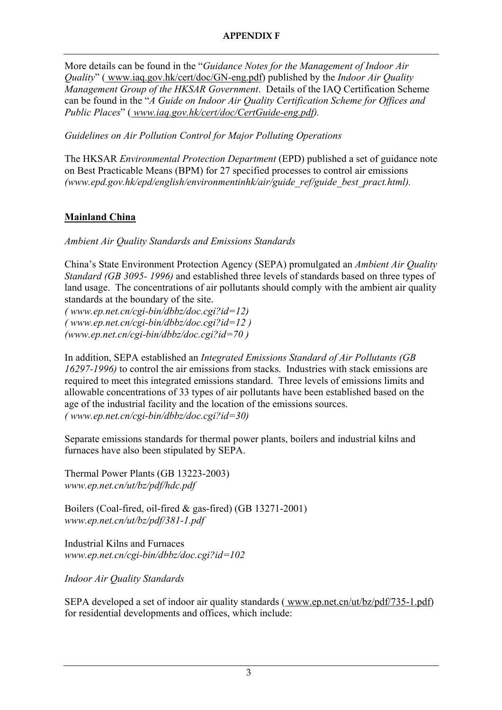More details can be found in the "*Guidance Notes for the Management of Indoor Air Quality*" ( www.iaq.gov.hk/cert/doc/GN-eng.pdf) published by the *Indoor Air Quality Management Group of the HKSAR Government*. Details of the IAQ Certification Scheme can be found in the "*A Guide on Indoor Air Quality Certification Scheme for Offices and Public Places*" ( *www.iaq.gov.hk/cert/doc/CertGuide-eng.pdf).*

*Guidelines on Air Pollution Control for Major Polluting Operations* 

The HKSAR *Environmental Protection Department* (EPD) published a set of guidance note on Best Practicable Means (BPM) for 27 specified processes to control air emissions *(www.epd.gov.hk/epd/english/environmentinhk/air/guide\_ref/guide\_best\_pract.html).* 

# **Mainland China**

*Ambient Air Quality Standards and Emissions Standards* 

China's State Environment Protection Agency (SEPA) promulgated an *Ambient Air Quality Standard (GB 3095- 1996)* and established three levels of standards based on three types of land usage. The concentrations of air pollutants should comply with the ambient air quality standards at the boundary of the site.

*( www.ep.net.cn/cgi-bin/dbbz/doc.cgi?id=12) ( www.ep.net.cn/cgi-bin/dbbz/doc.cgi?id=12 ) (www.ep.net.cn/cgi-bin/dbbz/doc.cgi?id=70 )* 

In addition, SEPA established an *Integrated Emissions Standard of Air Pollutants (GB 16297-1996)* to control the air emissions from stacks. Industries with stack emissions are required to meet this integrated emissions standard. Three levels of emissions limits and allowable concentrations of 33 types of air pollutants have been established based on the age of the industrial facility and the location of the emissions sources. *( www.ep.net.cn/cgi-bin/dbbz/doc.cgi?id=30)* 

Separate emissions standards for thermal power plants, boilers and industrial kilns and furnaces have also been stipulated by SEPA.

Thermal Power Plants (GB 13223-2003) *www.ep.net.cn/ut/bz/pdf/hdc.pdf* 

Boilers (Coal-fired, oil-fired & gas-fired) (GB 13271-2001) *www.ep.net.cn/ut/bz/pdf/381-1.pdf* 

Industrial Kilns and Furnaces *www.ep.net.cn/cgi-bin/dbbz/doc.cgi?id=102* 

*Indoor Air Quality Standards* 

SEPA developed a set of indoor air quality standards ( www.ep.net.cn/ut/bz/pdf/735-1.pdf) for residential developments and offices, which include: